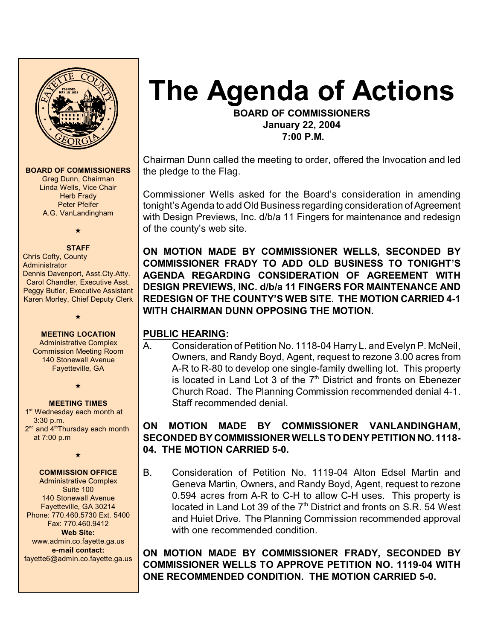

**BOARD OF COMMISSIONERS** Greg Dunn, Chairman

> Linda Wells, Vice Chair **Herb Frady** Peter Pfeifer A.G. VanLandingham

> > $\star$

#### **STAFF** Chris Cofty, County **Administrator** Dennis Davenport, Asst.Cty.Atty. Carol Chandler, Executive Asst.

Peggy Butler, Executive Assistant Karen Morley, Chief Deputy Clerk

#### **MEETING LOCATION**

 $\star$ 

Administrative Complex Commission Meeting Room 140 Stonewall Avenue Fayetteville, GA

 $\star$ 

#### **MEETING TIMES**

1<sup>st</sup> Wednesday each month at 3:30 p.m.  $2<sup>nd</sup>$  and  $4<sup>th</sup>$ Thursday each month at 7:00 p.m

 $\star$ 

# **COMMISSION OFFICE**

Administrative Complex Suite 100 140 Stonewall Avenue Fayetteville, GA 30214 Phone: 770.460.5730 Ext. 5400 Fax: 770.460.9412 **Web Site:** [www.admin.co.fayette.ga.us](http://www.admin.co.fayette.ga.us) **e-mail contact:** fayette6@admin.co.fayette.ga.us

# **The Agenda of Actions**

**BOARD OF COMMISSIONERS January 22, 2004 7:00 P.M.**

Chairman Dunn called the meeting to order, offered the Invocation and led the pledge to the Flag.

Commissioner Wells asked for the Board's consideration in amending tonight's Agenda to add Old Business regarding consideration of Agreement with Design Previews, Inc. d/b/a 11 Fingers for maintenance and redesign of the county's web site.

**ON MOTION MADE BY COMMISSIONER WELLS, SECONDED BY COMMISSIONER FRADY TO ADD OLD BUSINESS TO TONIGHT'S AGENDA REGARDING CONSIDERATION OF AGREEMENT WITH DESIGN PREVIEWS, INC. d/b/a 11 FINGERS FOR MAINTENANCE AND REDESIGN OF THE COUNTY'S WEB SITE. THE MOTION CARRIED 4-1 WITH CHAIRMAN DUNN OPPOSING THE MOTION.** 

# **PUBLIC HEARING:**

A. Consideration of Petition No. 1118-04 Harry L. and Evelyn P. McNeil, Owners, and Randy Boyd, Agent, request to rezone 3.00 acres from A-R to R-80 to develop one single-family dwelling lot. This property is located in Land Lot 3 of the  $7<sup>th</sup>$  District and fronts on Ebenezer Church Road. The Planning Commission recommended denial 4-1. Staff recommended denial.

# **ON MOTION MADE BY COMMISSIONER VANLANDINGHAM, SECONDED BY COMMISSIONER WELLS TO DENY PETITION NO. 1118- 04. THE MOTION CARRIED 5-0.**

B. Consideration of Petition No. 1119-04 Alton Edsel Martin and Geneva Martin, Owners, and Randy Boyd, Agent, request to rezone 0.594 acres from A-R to C-H to allow C-H uses. This property is located in Land Lot 39 of the  $7<sup>th</sup>$  District and fronts on S.R. 54 West and Huiet Drive. The Planning Commission recommended approval with one recommended condition.

**ON MOTION MADE BY COMMISSIONER FRADY, SECONDED BY COMMISSIONER WELLS TO APPROVE PETITION NO. 1119-04 WITH ONE RECOMMENDED CONDITION. THE MOTION CARRIED 5-0.**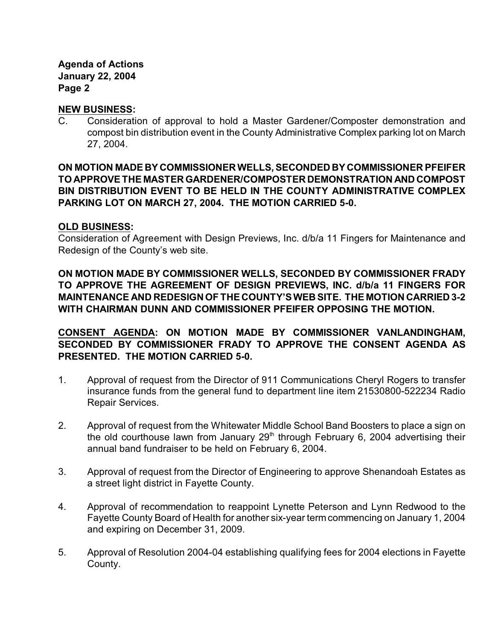**Agenda of Actions January 22, 2004 Page 2**

## **NEW BUSINESS:**

C. Consideration of approval to hold a Master Gardener/Composter demonstration and compost bin distribution event in the County Administrative Complex parking lot on March 27, 2004.

# **ON MOTION MADE BY COMMISSIONER WELLS, SECONDED BY COMMISSIONER PFEIFER TO APPROVE THE MASTER GARDENER/COMPOSTER DEMONSTRATION AND COMPOST BIN DISTRIBUTION EVENT TO BE HELD IN THE COUNTY ADMINISTRATIVE COMPLEX PARKING LOT ON MARCH 27, 2004. THE MOTION CARRIED 5-0.**

### **OLD BUSINESS:**

Consideration of Agreement with Design Previews, Inc. d/b/a 11 Fingers for Maintenance and Redesign of the County's web site.

**ON MOTION MADE BY COMMISSIONER WELLS, SECONDED BY COMMISSIONER FRADY TO APPROVE THE AGREEMENT OF DESIGN PREVIEWS, INC. d/b/a 11 FINGERS FOR MAINTENANCE AND REDESIGN OF THE COUNTY'S WEB SITE. THE MOTION CARRIED 3-2 WITH CHAIRMAN DUNN AND COMMISSIONER PFEIFER OPPOSING THE MOTION.**

**CONSENT AGENDA: ON MOTION MADE BY COMMISSIONER VANLANDINGHAM, SECONDED BY COMMISSIONER FRADY TO APPROVE THE CONSENT AGENDA AS PRESENTED. THE MOTION CARRIED 5-0.** 

- 1. Approval of request from the Director of 911 Communications Cheryl Rogers to transfer insurance funds from the general fund to department line item 21530800-522234 Radio Repair Services.
- 2. Approval of request from the Whitewater Middle School Band Boosters to place a sign on the old courthouse lawn from January  $29<sup>th</sup>$  through February 6, 2004 advertising their annual band fundraiser to be held on February 6, 2004.
- 3. Approval of request from the Director of Engineering to approve Shenandoah Estates as a street light district in Fayette County.
- 4. Approval of recommendation to reappoint Lynette Peterson and Lynn Redwood to the Fayette County Board of Health for another six-year term commencing on January 1, 2004 and expiring on December 31, 2009.
- 5. Approval of Resolution 2004-04 establishing qualifying fees for 2004 elections in Fayette County.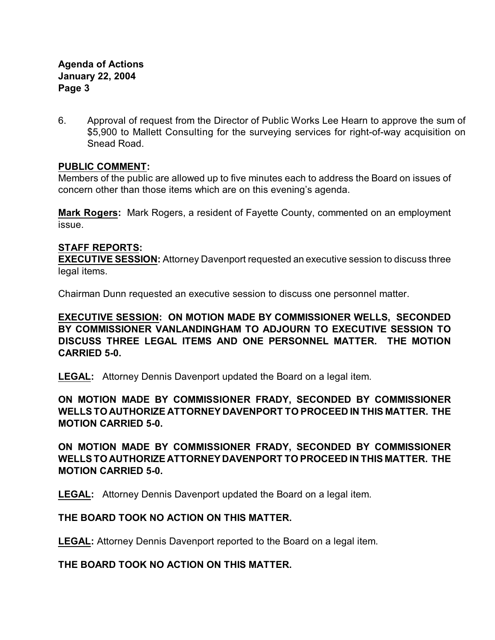# **Agenda of Actions January 22, 2004 Page 3**

6. Approval of request from the Director of Public Works Lee Hearn to approve the sum of \$5,900 to Mallett Consulting for the surveying services for right-of-way acquisition on Snead Road.

# **PUBLIC COMMENT:**

Members of the public are allowed up to five minutes each to address the Board on issues of concern other than those items which are on this evening's agenda.

**Mark Rogers:** Mark Rogers, a resident of Fayette County, commented on an employment issue.

## **STAFF REPORTS:**

**EXECUTIVE SESSION:** Attorney Davenport requested an executive session to discuss three legal items.

Chairman Dunn requested an executive session to discuss one personnel matter.

**EXECUTIVE SESSION: ON MOTION MADE BY COMMISSIONER WELLS, SECONDED BY COMMISSIONER VANLANDINGHAM TO ADJOURN TO EXECUTIVE SESSION TO DISCUSS THREE LEGAL ITEMS AND ONE PERSONNEL MATTER. THE MOTION CARRIED 5-0.** 

**LEGAL:** Attorney Dennis Davenport updated the Board on a legal item.

**ON MOTION MADE BY COMMISSIONER FRADY, SECONDED BY COMMISSIONER WELLS TO AUTHORIZE ATTORNEY DAVENPORT TO PROCEED IN THIS MATTER. THE MOTION CARRIED 5-0.**

**ON MOTION MADE BY COMMISSIONER FRADY, SECONDED BY COMMISSIONER WELLS TO AUTHORIZE ATTORNEY DAVENPORT TO PROCEED IN THIS MATTER. THE MOTION CARRIED 5-0.**

**LEGAL:** Attorney Dennis Davenport updated the Board on a legal item.

# **THE BOARD TOOK NO ACTION ON THIS MATTER.**

**LEGAL:** Attorney Dennis Davenport reported to the Board on a legal item.

**THE BOARD TOOK NO ACTION ON THIS MATTER.**